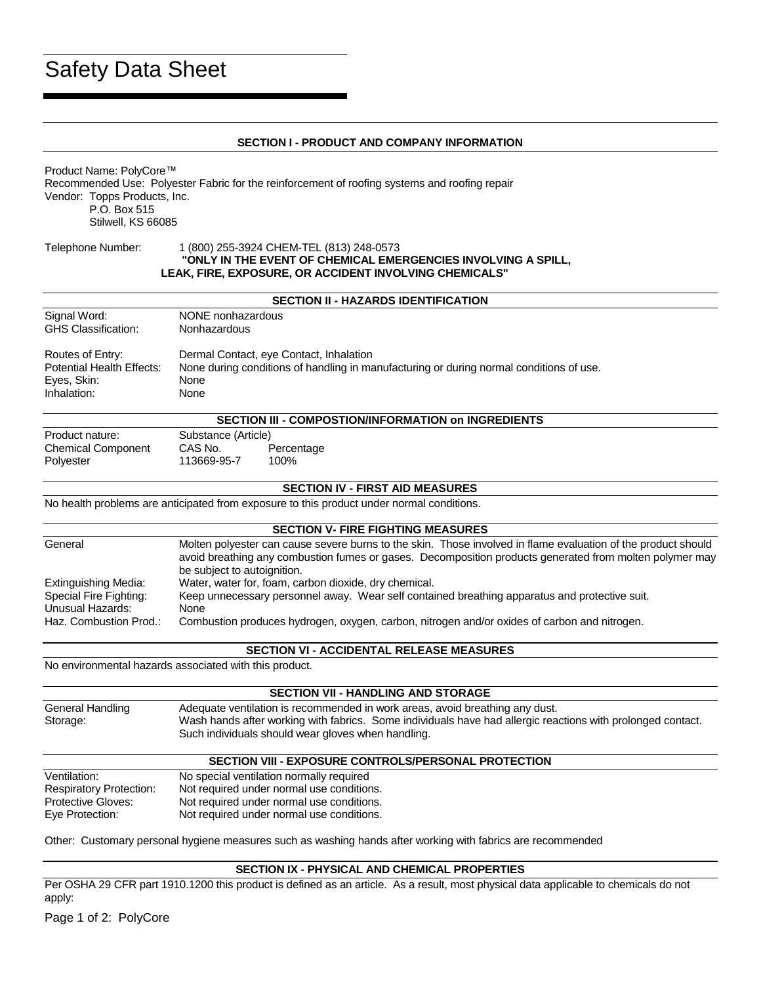# Safety Data Sheet

#### **SECTION I - PRODUCT AND COMPANY INFORMATION**

Product Name: PolyCore™ Recommended Use: Polyester Fabric for the reinforcement of roofing systems and roofing repair Vendor: Topps Products, Inc. P.O. Box 515 Stilwell, KS 66085

#### Telephone Number: 1 (800) 255-3924 CHEM-TEL (813) 248-0573 **"ONLY IN THE EVENT OF CHEMICAL EMERGENCIES INVOLVING A SPILL, LEAK, FIRE, EXPOSURE, OR ACCIDENT INVOLVING CHEMICALS"**

#### **SECTION II - HAZARDS IDENTIFICATION**

| Signal Word:               | NONE nonhazardous                                                                       |
|----------------------------|-----------------------------------------------------------------------------------------|
| <b>GHS Classification:</b> | <b>Nonhazardous</b>                                                                     |
| Routes of Entry:           | Dermal Contact, eye Contact, Inhalation                                                 |
| Potential Health Effects:  | None during conditions of handling in manufacturing or during normal conditions of use. |
| Eyes, Skin:                | <b>None</b>                                                                             |
| Inhalation:                | None                                                                                    |

| <b>SECTION III - COMPOSTION/INFORMATION on INGREDIENTS</b> |                        |                    |  |  |  |
|------------------------------------------------------------|------------------------|--------------------|--|--|--|
| Product nature:                                            | Substance (Article)    |                    |  |  |  |
| <b>Chemical Component</b><br>Polyester                     | CAS No.<br>113669-95-7 | Percentage<br>100% |  |  |  |

#### **SECTION IV - FIRST AID MEASURES**

No health problems are anticipated from exposure to this product under normal conditions.

#### **SECTION V- FIRE FIGHTING MEASURES**

| General                | Molten polyester can cause severe burns to the skin. Those involved in flame evaluation of the product should<br>avoid breathing any combustion fumes or gases. Decomposition products generated from molten polymer may<br>be subject to autoignition. |
|------------------------|---------------------------------------------------------------------------------------------------------------------------------------------------------------------------------------------------------------------------------------------------------|
| Extinguishing Media:   | Water, water for, foam, carbon dioxide, dry chemical.                                                                                                                                                                                                   |
| Special Fire Fighting: | Keep unnecessary personnel away. Wear self contained breathing apparatus and protective suit.                                                                                                                                                           |
| Unusual Hazards:       | None                                                                                                                                                                                                                                                    |
| Haz. Combustion Prod.: | Combustion produces hydrogen, oxygen, carbon, nitrogen and/or oxides of carbon and nitrogen.                                                                                                                                                            |

#### **SECTION VI - ACCIDENTAL RELEASE MEASURES**

No environmental hazards associated with this product.

| <b>SECTION VII - HANDLING AND STORAGE</b> |                                                                                                                                                                                                                                                   |  |
|-------------------------------------------|---------------------------------------------------------------------------------------------------------------------------------------------------------------------------------------------------------------------------------------------------|--|
| General Handling<br>Storage:              | Adequate ventilation is recommended in work areas, avoid breathing any dust.<br>Wash hands after working with fabrics. Some individuals have had allergic reactions with prolonged contact.<br>Such individuals should wear gloves when handling. |  |

#### **SECTION VIII - EXPOSURE CONTROLS/PERSONAL PROTECTION**

| Ventilation:                   | No special ventilation normally required  |
|--------------------------------|-------------------------------------------|
| <b>Respiratory Protection:</b> | Not required under normal use conditions. |
| <b>Protective Gloves:</b>      | Not required under normal use conditions. |
| Eye Protection:                | Not required under normal use conditions. |

Other: Customary personal hygiene measures such as washing hands after working with fabrics are recommended

#### **SECTION IX - PHYSICAL AND CHEMICAL PROPERTIES**

Per OSHA 29 CFR part 1910.1200 this product is defined as an article. As a result, most physical data applicable to chemicals do not apply: